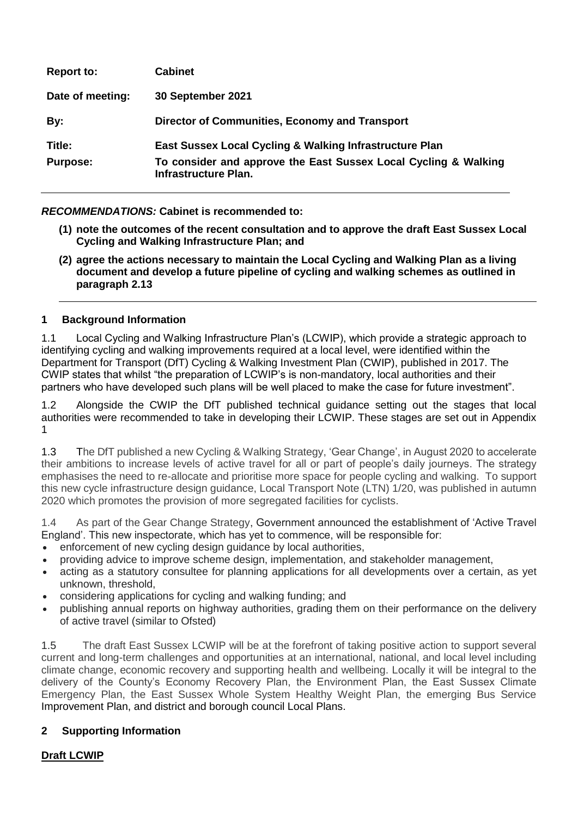| <b>Report to:</b> | <b>Cabinet</b>                                                                          |
|-------------------|-----------------------------------------------------------------------------------------|
| Date of meeting:  | 30 September 2021                                                                       |
| By:               | Director of Communities, Economy and Transport                                          |
| Title:            | East Sussex Local Cycling & Walking Infrastructure Plan                                 |
| <b>Purpose:</b>   | To consider and approve the East Sussex Local Cycling & Walking<br>Infrastructure Plan. |

### *RECOMMENDATIONS:* **Cabinet is recommended to:**

- **(1) note the outcomes of the recent consultation and to approve the draft East Sussex Local Cycling and Walking Infrastructure Plan; and**
- **(2) agree the actions necessary to maintain the Local Cycling and Walking Plan as a living document and develop a future pipeline of cycling and walking schemes as outlined in paragraph 2.13**

### **1 Background Information**

1.1 Local Cycling and Walking Infrastructure Plan's (LCWIP), which provide a strategic approach to identifying cycling and walking improvements required at a local level, were identified within the Department for Transport (DfT) Cycling & Walking Investment Plan (CWIP), published in 2017. The CWIP states that whilst "the preparation of LCWIP's is non-mandatory, local authorities and their partners who have developed such plans will be well placed to make the case for future investment".

1.2 Alongside the CWIP the DfT published technical guidance setting out the stages that local authorities were recommended to take in developing their LCWIP. These stages are set out in Appendix 1

1.3 The DfT published a new Cycling & Walking Strategy, 'Gear Change', in August 2020 to accelerate their ambitions to increase levels of active travel for all or part of people's daily journeys. The strategy emphasises the need to re-allocate and prioritise more space for people cycling and walking. To support this new cycle infrastructure design guidance, Local Transport Note (LTN) 1/20, was published in autumn 2020 which promotes the provision of more segregated facilities for cyclists.

1.4 As part of the Gear Change Strategy, Government announced the establishment of 'Active Travel England'. This new inspectorate, which has yet to commence, will be responsible for:

- enforcement of new cycling design guidance by local authorities,
- providing advice to improve scheme design, implementation, and stakeholder management,
- acting as a statutory consultee for planning applications for all developments over a certain, as yet unknown, threshold,
- considering applications for cycling and walking funding; and
- publishing annual reports on highway authorities, grading them on their performance on the delivery of active travel (similar to Ofsted)

1.5 The draft East Sussex LCWIP will be at the forefront of taking positive action to support several current and long-term challenges and opportunities at an international, national, and local level including climate change, economic recovery and supporting health and wellbeing. Locally it will be integral to the delivery of the County's Economy Recovery Plan, the Environment Plan, the East Sussex Climate Emergency Plan, the East Sussex Whole System Healthy Weight Plan, the emerging Bus Service Improvement Plan, and district and borough council Local Plans.

#### **2 Supporting Information**

# **Draft LCWIP**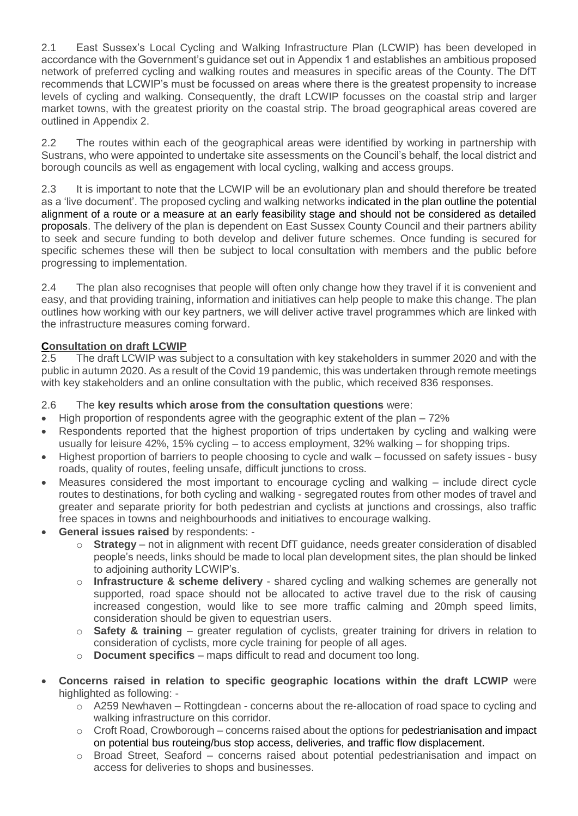2.1 East Sussex's Local Cycling and Walking Infrastructure Plan (LCWIP) has been developed in accordance with the Government's guidance set out in Appendix 1 and establishes an ambitious proposed network of preferred cycling and walking routes and measures in specific areas of the County. The DfT recommends that LCWIP's must be focussed on areas where there is the greatest propensity to increase levels of cycling and walking. Consequently, the draft LCWIP focusses on the coastal strip and larger market towns, with the greatest priority on the coastal strip. The broad geographical areas covered are outlined in Appendix 2.

2.2 The routes within each of the geographical areas were identified by working in partnership with Sustrans, who were appointed to undertake site assessments on the Council's behalf, the local district and borough councils as well as engagement with local cycling, walking and access groups.

2.3 It is important to note that the LCWIP will be an evolutionary plan and should therefore be treated as a 'live document'. The proposed cycling and walking networks indicated in the plan outline the potential alignment of a route or a measure at an early feasibility stage and should not be considered as detailed proposals. The delivery of the plan is dependent on East Sussex County Council and their partners ability to seek and secure funding to both develop and deliver future schemes. Once funding is secured for specific schemes these will then be subject to local consultation with members and the public before progressing to implementation.

2.4 The plan also recognises that people will often only change how they travel if it is convenient and easy, and that providing training, information and initiatives can help people to make this change. The plan outlines how working with our key partners, we will deliver active travel programmes which are linked with the infrastructure measures coming forward.

### **Consultation on draft LCWIP**

2.5 The draft LCWIP was subject to a consultation with key stakeholders in summer 2020 and with the public in autumn 2020. As a result of the Covid 19 pandemic, this was undertaken through remote meetings with key stakeholders and an online consultation with the public, which received 836 responses.

### 2.6 The **key results which arose from the consultation questions** were:

- $\bullet$  High proportion of respondents agree with the geographic extent of the plan  $-72\%$
- Respondents reported that the highest proportion of trips undertaken by cycling and walking were usually for leisure 42%, 15% cycling – to access employment, 32% walking – for shopping trips.
- Highest proportion of barriers to people choosing to cycle and walk focussed on safety issues busy roads, quality of routes, feeling unsafe, difficult junctions to cross.
- Measures considered the most important to encourage cycling and walking include direct cycle routes to destinations, for both cycling and walking - segregated routes from other modes of travel and greater and separate priority for both pedestrian and cyclists at junctions and crossings, also traffic free spaces in towns and neighbourhoods and initiatives to encourage walking.
- **General issues raised** by respondents:
	- o **Strategy** not in alignment with recent DfT guidance, needs greater consideration of disabled people's needs, links should be made to local plan development sites, the plan should be linked to adjoining authority LCWIP's.
	- o **Infrastructure & scheme delivery** shared cycling and walking schemes are generally not supported, road space should not be allocated to active travel due to the risk of causing increased congestion, would like to see more traffic calming and 20mph speed limits, consideration should be given to equestrian users.
	- o **Safety & training**  greater regulation of cyclists, greater training for drivers in relation to consideration of cyclists, more cycle training for people of all ages.
	- o **Document specifics**  maps difficult to read and document too long.
- **Concerns raised in relation to specific geographic locations within the draft LCWIP** were highlighted as following:
	- o A259 Newhaven Rottingdean concerns about the re-allocation of road space to cycling and walking infrastructure on this corridor.
	- $\circ$  Croft Road, Crowborough concerns raised about the options for pedestrianisation and impact on potential bus routeing/bus stop access, deliveries, and traffic flow displacement.
	- $\circ$  Broad Street, Seaford concerns raised about potential pedestrianisation and impact on access for deliveries to shops and businesses.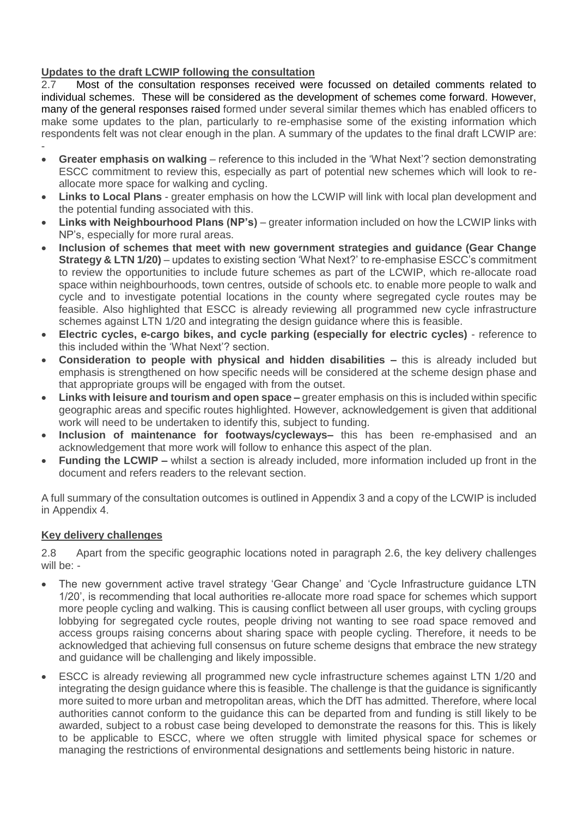## **Updates to the draft LCWIP following the consultation**

2.7 Most of the consultation responses received were focussed on detailed comments related to individual schemes. These will be considered as the development of schemes come forward. However, many of the general responses raised formed under several similar themes which has enabled officers to make some updates to the plan, particularly to re-emphasise some of the existing information which respondents felt was not clear enough in the plan. A summary of the updates to the final draft LCWIP are: -

- **Greater emphasis on walking** reference to this included in the 'What Next'? section demonstrating ESCC commitment to review this, especially as part of potential new schemes which will look to reallocate more space for walking and cycling.
- **Links to Local Plans** greater emphasis on how the LCWIP will link with local plan development and the potential funding associated with this.
- **.** Links with Neighbourhood Plans (NP's) greater information included on how the LCWIP links with NP's, especially for more rural areas.
- **Inclusion of schemes that meet with new government strategies and guidance (Gear Change Strategy & LTN 1/20)** – updates to existing section 'What Next?' to re-emphasise ESCC's commitment to review the opportunities to include future schemes as part of the LCWIP, which re-allocate road space within neighbourhoods, town centres, outside of schools etc. to enable more people to walk and cycle and to investigate potential locations in the county where segregated cycle routes may be feasible. Also highlighted that ESCC is already reviewing all programmed new cycle infrastructure schemes against LTN 1/20 and integrating the design guidance where this is feasible.
- **Electric cycles, e-cargo bikes, and cycle parking (especially for electric cycles)** reference to this included within the 'What Next'? section.
- **Consideration to people with physical and hidden disabilities –** this is already included but emphasis is strengthened on how specific needs will be considered at the scheme design phase and that appropriate groups will be engaged with from the outset.
- **Links with leisure and tourism and open space –** greater emphasis on this is included within specific geographic areas and specific routes highlighted. However, acknowledgement is given that additional work will need to be undertaken to identify this, subject to funding.
- **Inclusion of maintenance for footways/cycleways–** this has been re-emphasised and an acknowledgement that more work will follow to enhance this aspect of the plan.
- **Funding the LCWIP –** whilst a section is already included, more information included up front in the document and refers readers to the relevant section.

A full summary of the consultation outcomes is outlined in Appendix 3 and a copy of the LCWIP is included in Appendix 4.

### **Key delivery challenges**

2.8 Apart from the specific geographic locations noted in paragraph 2.6, the key delivery challenges will be: -

- The new government active travel strategy 'Gear Change' and 'Cycle Infrastructure guidance LTN 1/20', is recommending that local authorities re-allocate more road space for schemes which support more people cycling and walking. This is causing conflict between all user groups, with cycling groups lobbying for segregated cycle routes, people driving not wanting to see road space removed and access groups raising concerns about sharing space with people cycling. Therefore, it needs to be acknowledged that achieving full consensus on future scheme designs that embrace the new strategy and guidance will be challenging and likely impossible.
- ESCC is already reviewing all programmed new cycle infrastructure schemes against LTN 1/20 and integrating the design guidance where this is feasible. The challenge is that the guidance is significantly more suited to more urban and metropolitan areas, which the DfT has admitted. Therefore, where local authorities cannot conform to the guidance this can be departed from and funding is still likely to be awarded, subject to a robust case being developed to demonstrate the reasons for this. This is likely to be applicable to ESCC, where we often struggle with limited physical space for schemes or managing the restrictions of environmental designations and settlements being historic in nature.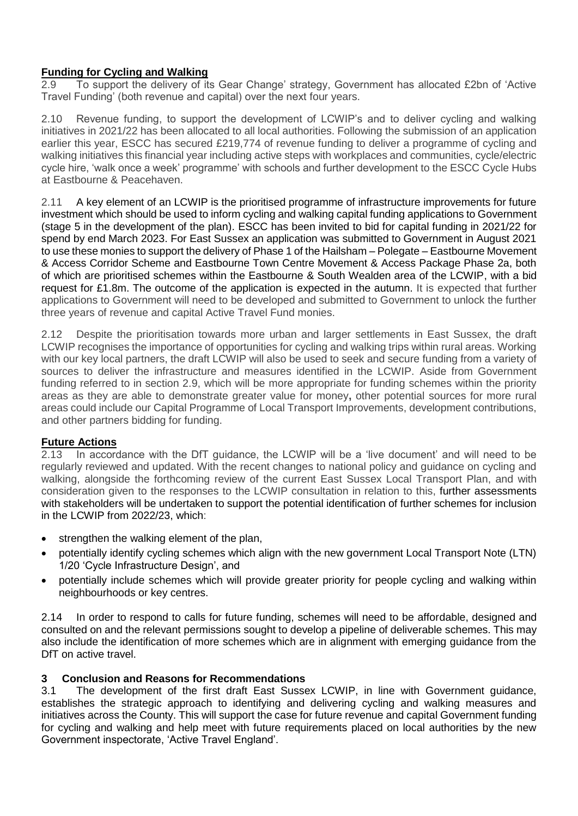## **Funding for Cycling and Walking**

2.9 To support the delivery of its Gear Change' strategy, Government has allocated £2bn of 'Active Travel Funding' (both revenue and capital) over the next four years.

2.10 Revenue funding, to support the development of LCWIP's and to deliver cycling and walking initiatives in 2021/22 has been allocated to all local authorities. Following the submission of an application earlier this year, ESCC has secured £219,774 of revenue funding to deliver a programme of cycling and walking initiatives this financial year including active steps with workplaces and communities, cycle/electric cycle hire, 'walk once a week' programme' with schools and further development to the ESCC Cycle Hubs at Eastbourne & Peacehaven.

2.11 A key element of an LCWIP is the prioritised programme of infrastructure improvements for future investment which should be used to inform cycling and walking capital funding applications to Government (stage 5 in the development of the plan). ESCC has been invited to bid for capital funding in 2021/22 for spend by end March 2023. For East Sussex an application was submitted to Government in August 2021 to use these monies to support the delivery of Phase 1 of the Hailsham – Polegate – Eastbourne Movement & Access Corridor Scheme and Eastbourne Town Centre Movement & Access Package Phase 2a, both of which are prioritised schemes within the Eastbourne & South Wealden area of the LCWIP, with a bid request for £1.8m. The outcome of the application is expected in the autumn. It is expected that further applications to Government will need to be developed and submitted to Government to unlock the further three years of revenue and capital Active Travel Fund monies.

2.12 Despite the prioritisation towards more urban and larger settlements in East Sussex, the draft LCWIP recognises the importance of opportunities for cycling and walking trips within rural areas. Working with our key local partners, the draft LCWIP will also be used to seek and secure funding from a variety of sources to deliver the infrastructure and measures identified in the LCWIP. Aside from Government funding referred to in section 2.9, which will be more appropriate for funding schemes within the priority areas as they are able to demonstrate greater value for money**,** other potential sources for more rural areas could include our Capital Programme of Local Transport Improvements, development contributions, and other partners bidding for funding.

### **Future Actions**

2.13 In accordance with the DfT guidance, the LCWIP will be a 'live document' and will need to be regularly reviewed and updated. With the recent changes to national policy and guidance on cycling and walking, alongside the forthcoming review of the current East Sussex Local Transport Plan, and with consideration given to the responses to the LCWIP consultation in relation to this, further assessments with stakeholders will be undertaken to support the potential identification of further schemes for inclusion in the LCWIP from 2022/23, which:

- strengthen the walking element of the plan,
- potentially identify cycling schemes which align with the new government Local Transport Note (LTN) 1/20 'Cycle Infrastructure Design', and
- potentially include schemes which will provide greater priority for people cycling and walking within neighbourhoods or key centres.

2.14 In order to respond to calls for future funding, schemes will need to be affordable, designed and consulted on and the relevant permissions sought to develop a pipeline of deliverable schemes. This may also include the identification of more schemes which are in alignment with emerging guidance from the DfT on active travel.

### **3 Conclusion and Reasons for Recommendations**

3.1 The development of the first draft East Sussex LCWIP, in line with Government guidance, establishes the strategic approach to identifying and delivering cycling and walking measures and initiatives across the County. This will support the case for future revenue and capital Government funding for cycling and walking and help meet with future requirements placed on local authorities by the new Government inspectorate, 'Active Travel England'.